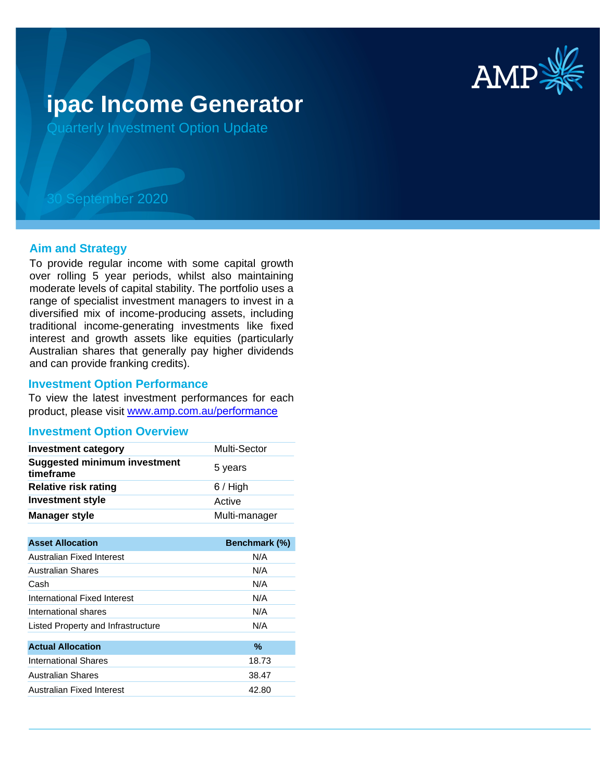

# **ipac Income Generator**

Quarterly Investment Option Update

## 30 September 2020

## **Aim and Strategy**

To provide regular income with some capital growth over rolling 5 year periods, whilst also maintaining moderate levels of capital stability. The portfolio uses a range of specialist investment managers to invest in a diversified mix of income-producing assets, including traditional income-generating investments like fixed interest and growth assets like equities (particularly Australian shares that generally pay higher dividends and can provide franking credits).

#### **Investment Option Performance**

To view the latest investment performances for each product, please visit www.amp.com.au/performance

## **Investment Option Overview**

| <b>Investment category</b>                       | <b>Multi-Sector</b> |
|--------------------------------------------------|---------------------|
| <b>Suggested minimum investment</b><br>timeframe | 5 years             |
| <b>Relative risk rating</b>                      | $6/$ High           |
| <b>Investment style</b>                          | Active              |
| <b>Manager style</b>                             | Multi-manager       |

| <b>Asset Allocation</b>            | <b>Benchmark (%)</b> |
|------------------------------------|----------------------|
| Australian Fixed Interest          | N/A                  |
| Australian Shares                  | N/A                  |
| Cash                               | N/A                  |
| International Fixed Interest       | N/A                  |
| International shares               | N/A                  |
| Listed Property and Infrastructure | N/A                  |
|                                    |                      |
| <b>Actual Allocation</b>           | %                    |
| International Shares               | 18.73                |
| Australian Shares                  | 38.47                |
| Australian Fixed Interest          | 42.80                |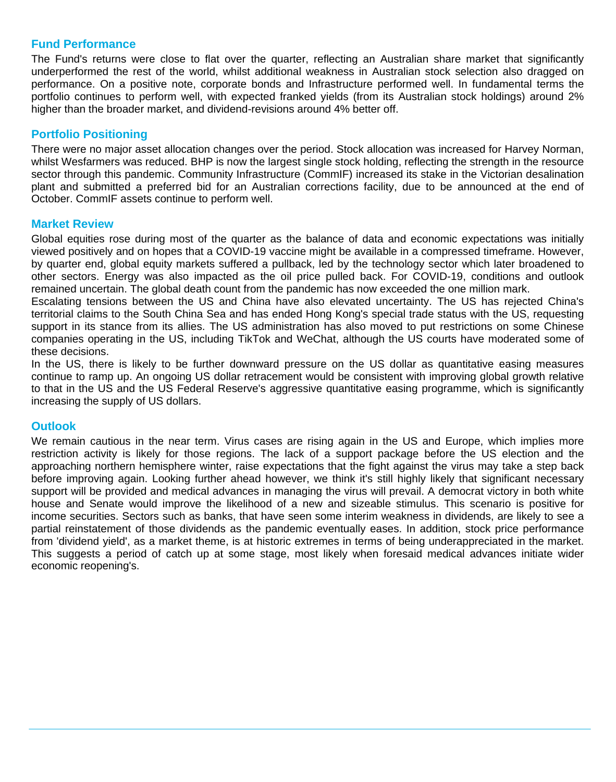## **Fund Performance**

The Fund's returns were close to flat over the quarter, reflecting an Australian share market that significantly underperformed the rest of the world, whilst additional weakness in Australian stock selection also dragged on performance. On a positive note, corporate bonds and Infrastructure performed well. In fundamental terms the portfolio continues to perform well, with expected franked yields (from its Australian stock holdings) around 2% higher than the broader market, and dividend-revisions around 4% better off.

## **Portfolio Positioning**

There were no major asset allocation changes over the period. Stock allocation was increased for Harvey Norman, whilst Wesfarmers was reduced. BHP is now the largest single stock holding, reflecting the strength in the resource sector through this pandemic. Community Infrastructure (CommIF) increased its stake in the Victorian desalination plant and submitted a preferred bid for an Australian corrections facility, due to be announced at the end of October. CommIF assets continue to perform well.

## **Market Review**

Global equities rose during most of the quarter as the balance of data and economic expectations was initially viewed positively and on hopes that a COVID-19 vaccine might be available in a compressed timeframe. However, by quarter end, global equity markets suffered a pullback, led by the technology sector which later broadened to other sectors. Energy was also impacted as the oil price pulled back. For COVID-19, conditions and outlook remained uncertain. The global death count from the pandemic has now exceeded the one million mark.

Escalating tensions between the US and China have also elevated uncertainty. The US has rejected China's territorial claims to the South China Sea and has ended Hong Kong's special trade status with the US, requesting support in its stance from its allies. The US administration has also moved to put restrictions on some Chinese companies operating in the US, including TikTok and WeChat, although the US courts have moderated some of these decisions.

In the US, there is likely to be further downward pressure on the US dollar as quantitative easing measures continue to ramp up. An ongoing US dollar retracement would be consistent with improving global growth relative to that in the US and the US Federal Reserve's aggressive quantitative easing programme, which is significantly increasing the supply of US dollars.

## **Outlook**

We remain cautious in the near term. Virus cases are rising again in the US and Europe, which implies more restriction activity is likely for those regions. The lack of a support package before the US election and the approaching northern hemisphere winter, raise expectations that the fight against the virus may take a step back before improving again. Looking further ahead however, we think it's still highly likely that significant necessary support will be provided and medical advances in managing the virus will prevail. A democrat victory in both white house and Senate would improve the likelihood of a new and sizeable stimulus. This scenario is positive for income securities. Sectors such as banks, that have seen some interim weakness in dividends, are likely to see a partial reinstatement of those dividends as the pandemic eventually eases. In addition, stock price performance from 'dividend yield', as a market theme, is at historic extremes in terms of being underappreciated in the market. This suggests a period of catch up at some stage, most likely when foresaid medical advances initiate wider economic reopening's.